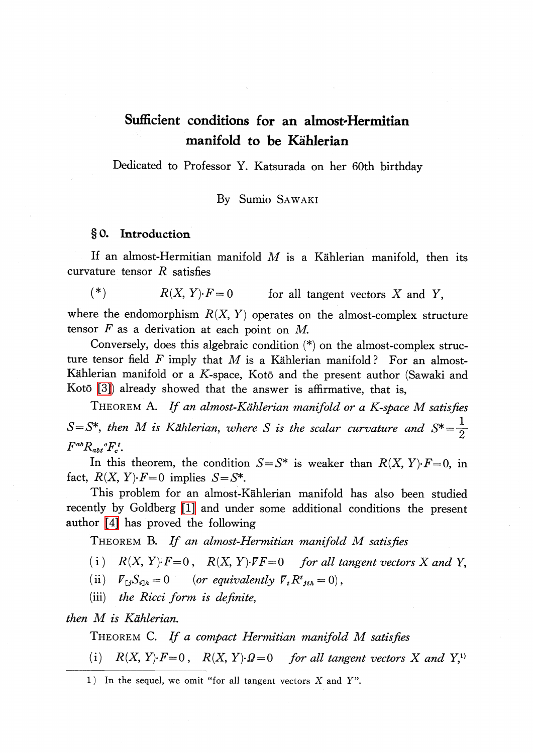# Sufficient conditions for an almost-Hermitian manifold to be Kählerian

Dedicated to Professor Y. Katsurada on her 60th birthday

By Sumio SAWAKI

### \S 0. Introduction

If an almost-Hermitian manifold  $M$  is a Kählerian manifold, then its curvature tensor  $R$  satisfies

(\*)  $R(X, Y)\cdot F=0$  for all tangent vectors X and Y,

where the endomorphism  $R(X, Y)$  operates on the almost-complex structure tensor  $F$  as a derivation at each point on  $M$ .

Conversely, does this algebraic condition  $(*)$  on the almost-complex structure tensor field F imply that M is a Kählerian manifold ? For an almost-Kählerian manifold or a K-space, Kotō and the present author (Sawaki and Kotō  $[3]$ ) already showed that the answer is affirmative, that is,

THEOREM A. If an almost-Kählerian manifold or a K-space M satisfies  $S=S^{*}$ , then M is Kählerian, where S is the scalar curvature and  $S^{*}=\frac{1}{2}$  $F^{~'''}K_{abt}^{~'}T_{c}^{~'}.$ 

In this theorem, the condition  $S=S^{*}$  is weaker than  $R(X, Y)\cdot F=0$ , in fact,  $R(X, Y) \cdot F = 0$  implies  $S = S^{*}$ .

This problem for an almost-Kählerian manifold has also been studied recently by Goldberg [\[1\]](#page-8-1) and under some additional conditions the present author [\[4\]](#page-8-2) has proved the following

THEOREM B. If an almost-Hermitian manifold M satisfies

(i)  $R(X, Y)\cdot F=0$ ,  $R(X, Y)\cdot\overline{F=0}$  for all tangent vectors X and Y,

(ii)  $\mathcal{F}_{\{j}S_{i1h}=0$  (or equivalently  $\mathcal{F}_{t}R_{jih}^{t}=0$ ),

 $(iii)$  the Ricci form is definite,

then  $M$  is Kählerian.

THEOREM C. If a compact Hermitian manifold M satisfies

(i)  $R(X, Y) \cdot F = 0$ ,  $R(X, Y) \cdot \Omega = 0$  for all tangent vectors X and Y<sub>i</sub><sup>1</sup>

1) In the sequel, we omit "for all tangent vectors  $X$  and  $Y$ ".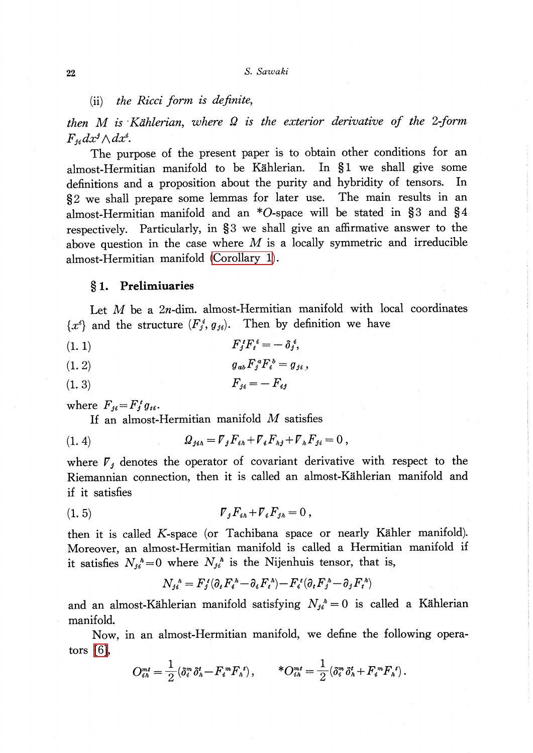#### $(ii)$  the Ricci form is definite,

then M is Kählerian, where  $\Omega$  is the exterior derivative of the 2-form  $F_{ji}dx^{j}\wedge dx^{i}$ .

The purpose of the present paper is to obtain other conditions for an almost-Hermitian manifold to be Kählerian. In  $\S 1$  we shall give some definitions and a proposition about the purity and hybridity of tensors. In \S 2 we shall prepare some lemmas for later use. The main results in an almost-Hermitian manifold and an \*O-space will be stated in  $\$ 3$  and  $\$ 4$ respectively. Particularly, in § 3 we shall give an affirmative answer to the above question in the case where  $M$  is a locally symmetric and irreducible almost-Hermitian manifold [\(Corollary](#page-4-0) 1).

#### \S 1. Prelimiuaries

Let  $M$  be a 2*n*-dim. almost-Hermitian manifold with local coordinates  $\{x^i\}$  and the structure  $(F_{j}^{i}, g_{ji})$ . Then by definition we have

- (1. 1)  $F_{j}^{*}F_{t}^{*}=-\delta_{j}^{*},$
- $g_{ab}F_{j}^{a}F_{i}^{c}=g_{ji},$
- (1. 3)  $F_{ji}=-F_{ij}$

where  $F_{ji}=F_{j}^{t}g_{ti}$ .

If an almost-Hermitian manifold  $M$  satisfies

(1.4) 
$$
Q_{jih} = V_j F_{ih} + V_i F_{hj} + V_h F_{ji} = 0,
$$

where  $\mathcal{F}_{f}$  denotes the operator of covariant derivative with respect to the Riemannian connection, then it is called an almost-Kählerian manifold and if it satisfies

$$
\mathcal{V}_j F_{ih} + \mathcal{V}_i F_{jh} = 0 \,,
$$

then it is called K-space (or Tachibana space or nearly Kähler manifold). Moreover, an almost-Hermitian manifold is called a Hermitian manifold if it satisfies  $N_{ji}^{h}=0$  where  $N_{ji}^{h}$  is the Nijenhuis tensor, that is,

$$
N_{ji}^{\ \ n} = F_j^{\ \iota}(\partial_{t} F_i^{\ \ n} - \partial_{t} F_i^{\ \ n}) - F_i^{\ \iota}(\partial_{t} F_j^{\ \ n} - \partial_{j} F_i^{\ \ n})
$$

and an almost-Kählerian manifold satisfying  $N_{j}^{h}=0$  is called a Kählerian manifold.

Now, in an almost-Hermitian manifold, we define the following operators  $[6]$ ,

$$
O_{ih}^{mt} = \frac{1}{2} (\delta_i^m \delta_i^t - F_i^m F_i^t), \qquad ^*O_{ih}^{mt} = \frac{1}{2} (\delta_i^m \delta_i^t + F_i^m F_i^t).
$$

$$
\overline{\mathbf{22}}
$$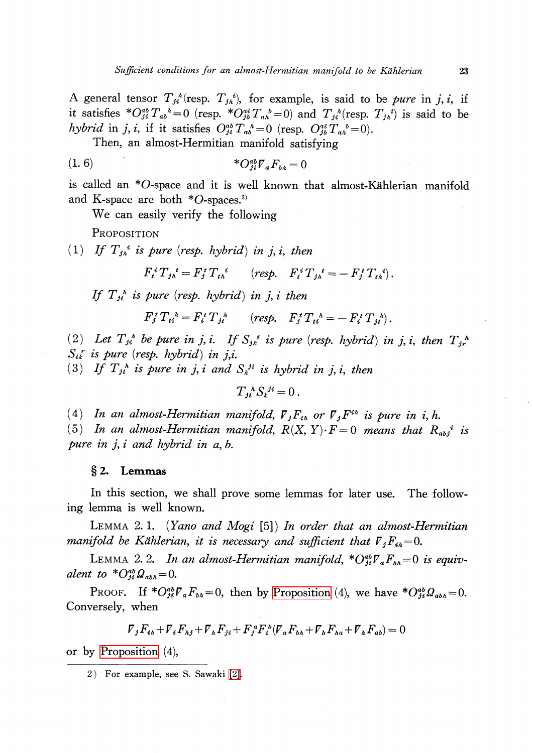A general tensor  $T_{ji}^{h} (resp. T_{j}^{i} )$ , for example, is said to be *pure* in j, i, if it satisfies  $*O_{j\delta}^{ab}T_{ab}^{h}=0$  (resp.  $*O_{j\delta}^{ai}T_{ab}^{h}=0$ ) and  $T_{j\delta}^{h} (resp. T_{j\delta}^{i} )$  is said to be hybrid in j, i, if it satisfies  $O_{ji}^{ab}T_{ab}^{h}=0$  (resp.  $O_{jb}^{ai}T_{ab}^{b}=0$ ).

Then, an almost-Hermitian manifold satisfying

$$
(1.6) \t\t\t\t\t^*O_{ji}^{ab}\mathcal{F}_aF_{ba} = 0
$$

is called an  $*O$ -space and it is well known that almost-Kählerian manifold and K-space are both  $*O$ -spaces.<sup>2)</sup>

We can easily verify the following

<span id="page-2-0"></span>**PROPOSITION** 

(1) If  $T_{j}$ <sup>{d}</sup> is pure (resp. hybrid) in j, i, then

$$
F_t^{\,i}T_{j\hbar}^{\,i} = F_j^{\,i}T_{\,i\hbar}^{\,i} \qquad (resp. \quad F_t^{\,i}T_{j\hbar}^{\,i} = -F_j^{\,i}T_{\,i\hbar}^{\,i}).
$$

If  $T_{ji}^{h}$  is pure (resp. hybrid) in j, i then

$$
F_j^{\ t} T_{t_i^{\ b}} = F_i^{\ t} T_{jt}^{\ b} \qquad (resp. \quad F_j^{\ t} T_{ti}^{\ b} = - F_i^{\ t} T_{jt}^{\ b}).
$$

(2) Let  $T_{ji}^{h}$  be pure in j, i. If  $S_{jk}^{i}$  is pure (resp. hybrid) in j, i, then  $T_{jk}^{h}$  $S_{ik}^{r}$  is pure (resp. hybrid) in j,i.

(3) If  $T_{ji}^{h}$  is pure in j, i and  $S_{k}^{j}$  is hybrid in j, i, then

$$
T_{ji}^{\ \ k} S_k^{ji} = 0 \ .
$$

(4) In an almost-Hermitian manifold,  $\nabla_{j}F_{ih}$  or  $\nabla_{j}F^{ih}$  is pure in i, h.

(5) In an almost-Hermitian manifold,  $R(X, Y) \cdot F=0$  means that  $R_{a b i}^{i}$  is pure in j, i and hybrid in a, b.

### $\S 2.$  Lemmas

In this section, we shall prove some lemmas for later use. The following lemma is well known.

LEMMA 2.1. (Yano and Mogi [5]) In order that an almost-Hermitian manifold be Kählerian, it is necessary and sufficient that  $V_{j}F_{ih}=0$ .

<span id="page-2-1"></span>LEMMA 2. 2. In an almost-Hermitian manifold,  $^*O_{ji}^{ab}\mathcal{F}_{a}F_{ba}=0$  is equivalent to  ${}^*\mathcal{O}_{ji}^{ab}\mathcal{Q}_{abh}=0.$ 

Proof. If  $^*O_{ji}^{ab}\mathcal{F}_aF_{bh}=0$ , then by [Proposition](#page-2-0) (4), we have  $^*O_{ji}^{ab}\Omega_{abi}=0$ . Conversely, when

$$
\mathbf{\nabla}_j \mathbf{F}_{i h} + \mathbf{\nabla}_i \mathbf{F}_{h j} + \mathbf{\nabla}_h \mathbf{F}_{j i} + \mathbf{F}_j^a \mathbf{F}_i^b (\mathbf{\nabla}_a \mathbf{F}_{b h} + \mathbf{\nabla}_b \mathbf{F}_{h a} + \mathbf{\nabla}_h \mathbf{F}_{a b}) = 0
$$

or by [Proposition](#page-2-0) (4),

<sup>2)</sup> For example, see S. Sawaki [\[2\].](#page-8-4)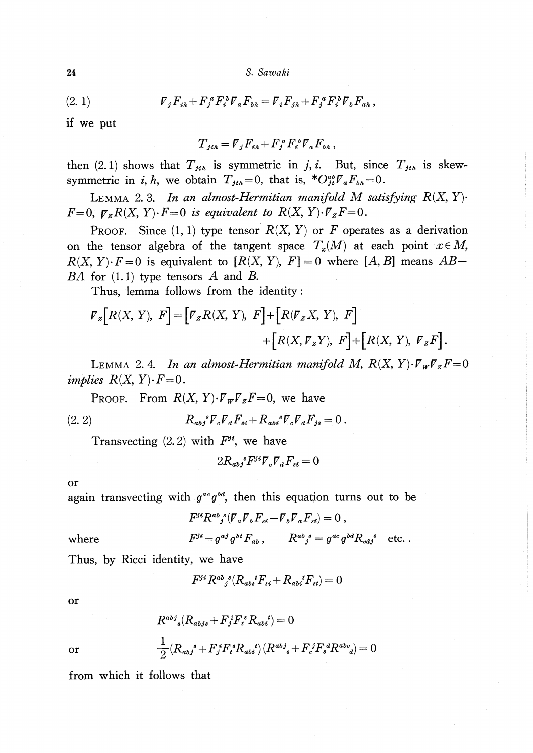S. Sawaki

(2. 1) 
$$
\nabla_j F_{ih} + F_j^a F_i^b \nabla_a F_{bh} = \nabla_i F_{jh} + F_j^a F_i^b \nabla_b F_{ah} ,
$$

if we put

$$
T_{jih} = \overline{V}_j F_{ih} + F_j^a F_i^b \overline{V}_a F_{bh} ,
$$

then (2.1) shows that  $T_{jih}$  is symmetric in j, i. But, since  $T_{jih}$  is skewsymmetric in i, h, we obtain  $T_{jik}=0$ , that is,  $*O_{ji}^{ab}\mathcal{F}_{a}F_{ba}=0$ .

<span id="page-3-0"></span>LEMMA 2.3. In an almost-Hermitian manifold M satisfying  $R(X, Y)$ .  $F=0, \nabla_{Z}R(X, Y)\cdot F=0$  is equivalent to  $R(X, Y)\cdot\Gamma_{Z}F=0$ .

PROOF. Since  $(1, 1)$  type tensor  $R(X, Y)$  or F operates as a derivation on the tensor algebra of the tangent space  $T_{x}(M)$  at each point  $x\in M$ ,  $R(X, Y) \cdot F = 0$  is equivalent to  $[R(X, Y), F] = 0$  where  $[A, B]$  means  $AB$ -BA for  $(1.1)$  type tensors A and B.

Thus, lemma follows from the identity :

$$
\mathcal{F}_z[R(X, Y), F] = [\mathcal{F}_z R(X, Y), F] + [R(\mathcal{F}_z X, Y), F] + [R(X, \mathcal{F}_z Y), F] + [R(X, Y), \mathcal{F}_z F].
$$

<span id="page-3-1"></span>LEMMA 2.4. In an almost-Hermitian manifold M,  $R(X, Y)\cdot\mathbb{F}_{W}\mathbb{F}_{Z}F=0$ implies  $R(X, Y) \cdot F = 0$ .

PROOF. From  $R(X, Y)\cdot\overline{V}_{w}\overline{V}_{z}F=0$ , we have

(2. 2) 
$$
R_{ab}{}^s \nabla_c \nabla_d F_{st} + R_{ab}{}^s \nabla_c \nabla_d F_{js} = 0.
$$

Transvecting  $(2.2)$  with  $F^{ji}$ , we have

$$
2R_{abj}{}^sF^{ji}V_cV_dF_{si}=0
$$

or

again transvecting with  $g^{ac}g^{bd}$ , then this equation turns out to be

$$
F^{ji}R^{ab}{}_j^s(\overline{V}_a\overline{V}_bF_{si}-\overline{V}_b\overline{V}_aF_{si})=0\ ,
$$

where 
$$
F^{j_i} = g^{aj}g^{bi}F_{ab}, \qquad R^{ab}{}_{j}{}^{s} = g^{ac}g^{bd}R_{cdj}{}^{s} \quad \text{etc.}.
$$

Thus, by Ricci identity, we have

$$
F^{ji}R^{ab}{}_{j}{}^{s}(R_{abs}{}^{t}F_{ti}+R_{ab}{}_{i}{}^{t}F_{st})=0
$$

or

$$
R^{abj}_{s}(R_{abjs} + F_j^s F_i^s R_{abi}^t) = 0
$$

or  $\frac{1}{2}(R_{abj}^{s}+F_{j}^{s}F_{t}^{s}R_{abj}^{t})(R^{abj}_{s}+F_{c}^{j}F_{s}^{d}R^{abc}_{d})=0$ 

from which it follows that

$$
\boldsymbol{24}
$$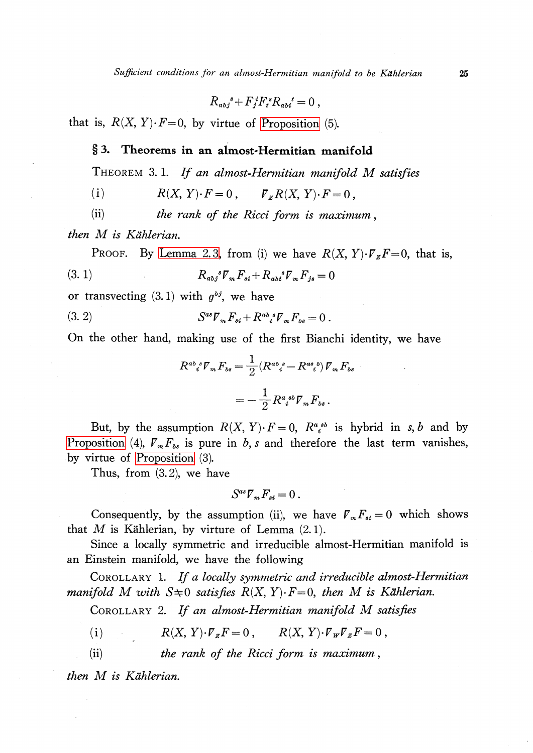$$
R_{abj}^{\quad s} + F_j^{\,s} F_i^{\,s} R_{abi}^{\quad t} = 0 \ ,
$$

that is,  $R(X, Y) \cdot F = 0$ , by virtue of [Proposition](#page-2-0) (5).

## \S 3. Theorems in an almost-Hermitian manifold

THEOREM 3. 1. If an almost-Hermitian manifold M satisfies

(i)  $R(X, Y)\cdot F=0, \qquad \overline{V}_{z}R(X, Y)\cdot F=0,$ 

(ii) the rank of the Ricci form is maximum,

then  $M$  is Kählerian.

PROOF. By Lemma 2.3, from (i) we have 
$$
R(X, Y) \cdot \mathbb{F}_z F = 0
$$
, that is,  
(3. 1) 
$$
R_{abj}{}^s \mathbb{F}_m F_{st} + R_{abi}{}^s \mathbb{F}_m F_{js} = 0
$$

or transvecting  $(3.1)$  with  $g^{bj}$ , we have

(3. 2) 
$$
S^{as}\nabla_m F_{st} + R^{ab}_{\ \ i}{}^s\nabla_m F_{bs} = 0.
$$

On the other hand, making use of the first Bianchi identity, we have

$$
R^{ab}_{\quad i}{}^s \overline{V}_m F_{bs} = \frac{1}{2} (R^{ab}_{i}{}^s - R^{as}_{i}{}^b) \overline{V}_m F_{bs}
$$

$$
= -\frac{1}{2} R^{a}_{i}{}^{sb} \overline{V}_m F_{bs} .
$$

But, by the assumption  $R(X, Y) \cdot F = 0$ ,  $R_{i}^{a}$  is hybrid in s, b and by [Proposition](#page-2-0) (4),  $\nabla_{m}F_{bs}$  is pure in b, s and therefore the last term vanishes, by virtue of [Proposition](#page-2-0) (3).

Thus, from  $(3.2)$ , we have

$$
S^{as}\overline{V}_mF_{si}=0.
$$

Consequently, by the assumption (ii), we have  $\mathcal{F}_{m}F_{s} = 0$  which shows that M is Kählerian, by virture of Lemma  $(2.1)$ .

Since a locally symmetric and irreducible almost-Hermitian manifold is an Einstein manifold, we have the following

<span id="page-4-0"></span>COROLLARY 1. If <sup>a</sup> locally symmetric and irreducible almost-Hermitian manifold M with  $S\neq 0$  satisfies  $R(X, Y)\cdot F=0$ , then M is Kählerian.

COROLLARY 2. If an almost-Hermitian manifold  $M$  satisfies

- (i)  $R(X, Y)\cdot\overline{V}_{Z}F=0$ ,  $R(X, Y)\cdot\overline{V}_{W}\overline{V}_{Z}F=0$ ,
- (ii) the rank of the Ricci form is maximum,

then  $M$  is Kählerian.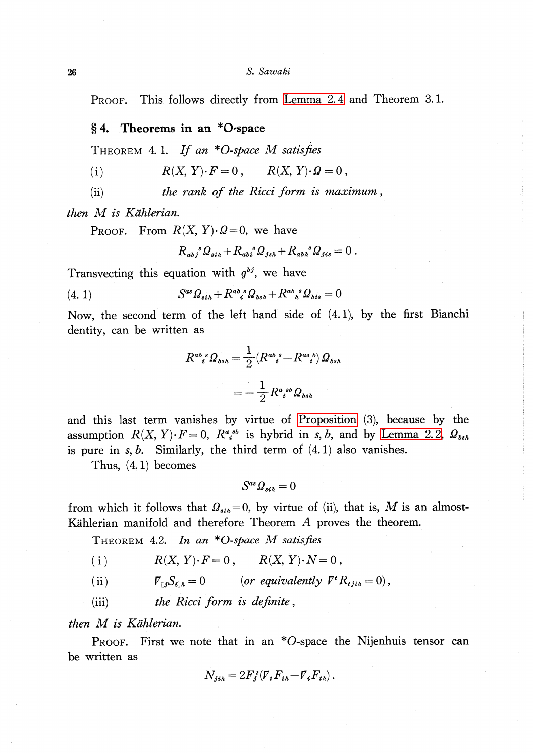26 S. Sawaki

PROOF. This follows directly from [Lemma](#page-3-1) 2.4 and Theorem 3.1.

 $\S 4.$  Theorems in an \*O-space

THEOREM 4.1. If an  $*O$ -space M satisfies

(i)  $R(X, Y) \cdot F=0$ ,  $R(X, Y) \cdot \Omega=0$ ,

(ii) the rank of the Ricci form is maximum,

then  $M$  is Kählerian.

PROOF. From  $R(X, Y) \cdot Q = 0$ , we have

$$
R_{abj}{}^s\Omega_{sib} + R_{ab}{}^s\Omega_{jsb} + R_{ab}{}^s\Omega_{jis} = 0.
$$

Transvecting this equation with  $g^{bj}$ , we have

$$
(4. 1) \tS^{as} \Omega_{s\delta h} + R^{ab}{}_{i}^{s} \Omega_{bs h} + R^{ab}{}_{h}^{s} \Omega_{b\delta s} = 0
$$

Now, the second term of the left hand side of (4.1), by the first Bianchi dentity, can be written as

$$
R^{ab}_{i}{}^{s}\Omega_{bsh} = \frac{1}{2} (R^{ab}_{i}{}^{s} - R^{as}_{i}{}^{b}) \Omega_{bsh}
$$

$$
= -\frac{1}{2} R^{a}_{i}{}^{sb} \Omega_{bsh}
$$

and this last term vanishes by virtue of [Proposition](#page-2-0) (3), because by the assumption  $R(X, Y) \cdot F=0$ ,  $R_{i}^{a}$  is hybrid in s, b, and by [Lemma](#page-2-1) 2.2,  $\Omega_{bsh}$ is pure in  $s, b$ . Similarly, the third term of  $(4.1)$  also vanishes.

Thus, (4. 1) becomes

$$
S^{as}\varOmega_{si}{}_{\hskip-0.7ex{\scriptscriptstyle h}}=0
$$

from which it follows that  $\Omega_{sih}=0$ , by virtue of (ii), that is, M is an almost-Kählerian manifold and therefore Theorem  $A$  proves the theorem.

THEOREM 4.2. In an  $*O$ -space M satisfies

(i)  $R(X, Y) \cdot F = 0$ ,  $R(X, Y) \cdot N = 0$ ,

(ii)  $\mathbf{\nabla}_{\mathbf{I}j}\mathbf{S}_{i\mathbf{I}h}=0$  (or equivalently  $\mathbf{\nabla}^{t}R_{tjih}=0$ ),

 $(iii)$  the Ricci form is definite,

then  $M$  is Kählerian.

PROOF. First we note that in an  $*O$ -space the Nijenhuis tensor can be written as

$$
N_{jih} = 2F_j^{\prime}(V_{\iota}F_{ih} - V_{\iota}F_{ih}).
$$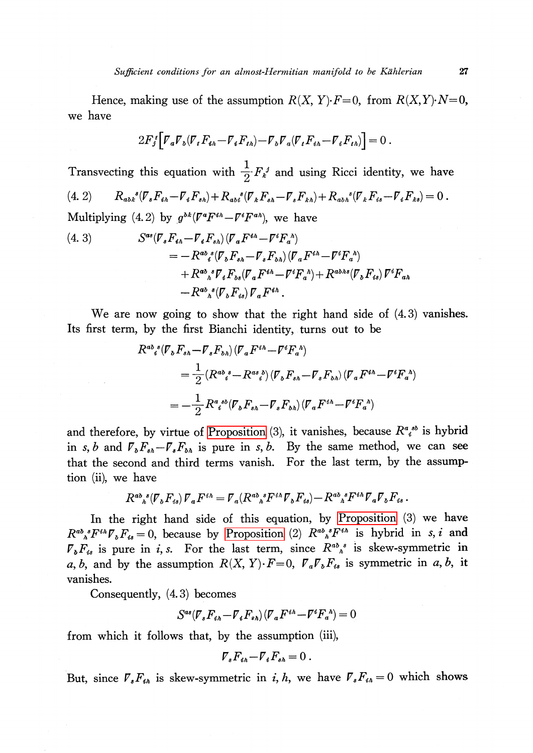Hence, making use of the assumption  $R(X, Y)\cdot F=0$ , from  $R(X, Y)\cdot N=0$ , we have

$$
2F_j^{\,t}\Big[\nabla_a \nabla_b (\nabla_t F_{\mathbf{t}h} - \nabla_{\mathbf{t}} F_{\mathbf{t}h}) - \nabla_b \nabla_a (\nabla_t F_{\mathbf{t}h} - \nabla_{\mathbf{t}} F_{\mathbf{t}h})\Big] = 0.
$$

Transvecting this equation with  $\frac{1}{2}F_{k}^{j}$  and using Ricci identity, we have  $R_{abk}^{s}(\mathcal{F}_{s}F_{ih}-\mathcal{F}_{i}F_{sh})+R_{abk}^{s}(\mathcal{F}_{k}F_{sh}-\mathcal{F}_{s}F_{kh})+R_{abk}^{s}(\mathcal{F}_{k}F_{is}-\mathcal{F}_{i}F_{ks})=0$  . Multiplying  $(4.2)$  by  $g^{bk}(\mathbf{F}^{a}F^{ih}-\mathbf{F}^{i}F^{ak})$ , we have

(4. 3)  
\n
$$
S^{as}(\mathcal{F}_s F_{\epsilon h} - \mathcal{F}_\epsilon F_{s h})(\mathcal{F}_a F^{i h} - \mathcal{F}^i F_a^h)
$$
\n
$$
= -R^{ab}{}_{s}{}^{s}(\mathcal{F}_b F_{s h} - \mathcal{F}_s F_{b h})(\mathcal{F}_a F^{i h} - \mathcal{F}^i F_a^h)
$$
\n
$$
+ R^{ab}{}_{s}{}^{s} \mathcal{F}_\epsilon F_{bs}(\mathcal{F}_a F^{i h} - \mathcal{F}^i F_a^h) + R^{ab h s}(\mathcal{F}_b F_{s s}) \mathcal{F}^i F_{a h}
$$
\n
$$
-R^{ab}{}_{s}{}^{s}(\mathcal{F}_b F_{s s}) \mathcal{F}_a F^{i h}.
$$

We are now going to show that the right hand side of  $(4.3)$  vanishes. Its first term, by the first Bianchi identity, turns out to be

$$
\begin{split} R^{ab}{}_{i}{}^{s}(\mathcal{F}_{b}F_{sh}-\mathcal{F}_{s}F_{bh})\,(\mathcal{F}_{a}F^{ih}-\mathcal{F}^{i}F_{a}{}^{h}) \\ & =\frac{1}{2}(R^{ab}{}_{i}{}^{s}-R^{as}{}_{i}{}^{b})\,(\mathcal{F}_{b}F_{sh}-\mathcal{F}_{s}F_{bh})\,(\mathcal{F}_{a}F^{ih}-\mathcal{F}^{i}F_{a}{}^{h}) \\ & =-\frac{1}{2}\,R^{a}{}_{i}{}^{sb}(\mathcal{F}_{b}F_{sh}-\mathcal{F}_{s}F_{bh})\,(\mathcal{F}_{a}F^{ih}-\mathcal{F}^{i}F_{a}{}^{h}) \end{split}
$$

and therefore, by virtue of [Proposition](#page-2-0) (3), it vanishes, because  $R_{i}^{a}{}_{i}^{ab}$  is hybrid in s, b and  $\nabla_{b}F_{s\lambda}-\nabla_{s}F_{b\lambda}$  is pure in s, b. By the same method, we can see that the second and third terms vanish. For the last term, by the assumption (ii), we have

$$
R^{ab}_{\ \ k}{}^s(\mathcal{F}_b F_{ss})\mathcal{F}_a F^{ih} = \mathcal{F}_a (R^{ab}_{\ \ k} F^{ih}\mathcal{F}_b F_{ss}) - R^{ab}_{\ \ k}{}^s F^{ih}\mathcal{F}_a \mathcal{F}_b F_{ss}.
$$

In the right hand side of this equation, by [Proposition](#page-2-0) (3) we have  $R^{ab}{}_b{}^sF^{ih}\nabla_{b}F_{is}=0$ , because by [Proposition](#page-2-0) (2)  $R^{ab}{}_b{}^sF^{ih}$  is hybrid in s, i and  $\nabla_{b}F_{\omega}$  is pure in i, s. For the last term, since  $R_{\omega}^{ab}$  is skew-symmetric in a, b, and by the assumption  $R(X, Y)\cdot F=0$ ,  $\nabla_{a}\overline{V}_{b}F_{is}$  is symmetric in a, b, it vanishes.

Consequently, (4. 3) becomes

$$
S^{as}(\mathcal{F}_s F_{\mathit{sh}} - \mathcal{F}_s F_{\mathit{sh}}) (\mathcal{F}_a F^{\mathit{sh}} - \mathcal{F}^{\mathit{i}} F_a{}^{\mathit{h}}) = 0
$$

from which it follows that, by the assumption (iii),

$$
\overline{V}_s F_{ih} - \overline{V}_i F_{sh} = 0.
$$

But, since  $\overline{V}_sF_{i\hbar}$  is skew-symmetric in i, h, we have  $\overline{V}_sF_{i\hbar}=0$  which shows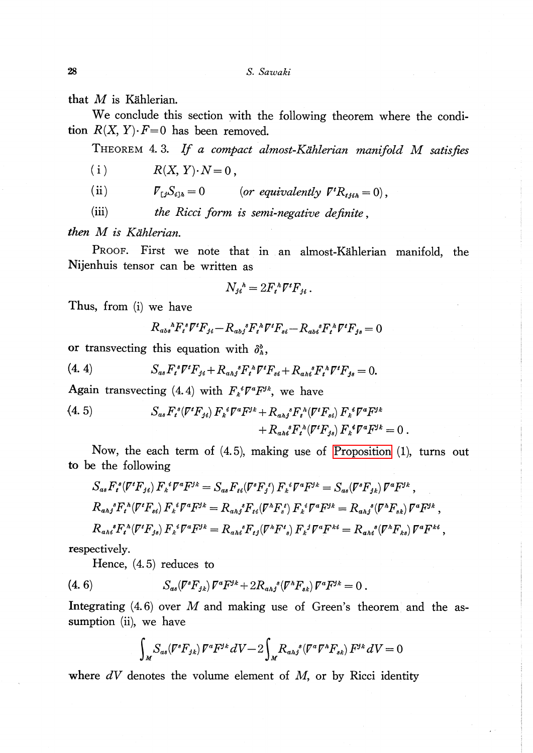that  $M$  is Kählerian.

We conclude this section with the following theorem where the condition  $R(X, Y) \cdot F = 0$  has been removed.

THEOREM 4.3. If a compact almost-Kählerian manifold  $M$  satisfies

$$
(i) \t R(X, Y) \cdot N = 0,
$$

(ii) 
$$
\mathcal{V}_{\mathfrak{t}j} S_{\mathfrak{s}j\mathfrak{h}} = 0 \quad \text{(or equivalently } \mathcal{V}^{\mathfrak{t}} R_{\mathfrak{s}j\mathfrak{s}\mathfrak{h}} = 0),
$$

(iii) the Ricci form is semi-negative definite,

then  $M$  is Kählerian.

PROOF. First we note that in an almost-Kählerian manifold, the Nijenhuis tensor can be written as

$$
N_{ji}^{\ \ k} = 2F_i^{\ k} \nabla^t F_{ji} \ .
$$

Thus, from (i) we have

$$
R_{abs}{}^{\hbar}F_{t}{}^{s}\mathcal{V}^{t}F_{ji} - R_{abj}{}^{s}F_{t}{}^{\hbar}\mathcal{V}^{t}F_{si} - R_{abi}{}^{s}F_{t}{}^{\hbar}\mathcal{V}^{t}F_{js} = 0
$$

or transvecting this equation with  $\delta_{h}^{b}$ ,

$$
(4. 4) \tS_{as}F_i^* \nabla^t F_{j} + R_{a}{}_{j}{}^{s} F_i{}^{h} \nabla^t F_{si} + R_{a}{}_{i}{}^{s} F_i{}^{h} \nabla^t F_{js} = 0.
$$

Again transvecting (4.4) with  $F_{k}{}^{i}\mathcal{F}^{a}F^{jk}$ , we have

(4. 5) 
$$
S_{as} F_t^s (\nabla^t F_{ji}) F_k^s \nabla^a F^{jk} + R_{a h j}^s F_t^h (\nabla^t F_{si}) F_k^s \nabla^a F^{jk} + R_{a h i}^s F_t^h (\nabla^t F_{j s}) F_k^s \nabla^a F^{jk} = 0.
$$

Now, the each term of (4.5), making use of [Proposition](#page-2-0) (1), turns out to be the following

$$
S_{as}F_i^s(\mathcal{V}^iF_{ji}) F_k^s \mathcal{V}^a F^{jk} = S_{as}F_{ti}(\mathcal{V}^s F_j^s) F_k^s \mathcal{V}^a F^{jk} = S_{as}(\mathcal{V}^s F_{jk}) \mathcal{V}^a F^{jk},
$$
  
\n
$$
R_{a h j}^s F_i^a(\mathcal{V}^i F_{si}) F_k^s \mathcal{V}^a F^{jk} = R_{a h j}^s F_{ti}(\mathcal{V}^a F_s^s) F_k^s \mathcal{V}^a F^{jk} = R_{a h j}^s (\mathcal{V}^a F_{sk}) \mathcal{V}^a F^{jk},
$$
  
\n
$$
R_{a h i}^s F_i^a(\mathcal{V}^i F_{js}) F_k^s \mathcal{V}^a F^{jk} = R_{a h i}^s F_{t j}(\mathcal{V}^a F^s) F_k^s \mathcal{V}^a F^{ki} = R_{a h i}^s (\mathcal{V}^a F_{ks}) \mathcal{V}^a F^{ki},
$$

respectively.

Hence, (4. 5) reduces to

(4. 6) 
$$
S_{as}(\mathcal{V}^s F_{jk}) \, \mathcal{V}^a F^{jk} + 2 R_{a h j}{}^s (\mathcal{V}^h F_{sk}) \, \mathcal{V}^a F^{jk} = 0 \, .
$$

Integrating  $(4.6)$  over M and making use of Green's theorem and the assumption (ii), we have

$$
\int_{M} S_{as}(\mathbf{F}^s F_{jk}) \mathbf{F}^a F^{jk} dV - 2 \int_{M} R_{a h j}{}^s (\mathbf{F}^a \mathbf{F}^b F_{sk}) F^{jk} dV = 0
$$

where  $dV$  denotes the volume element of  $M$ , or by Ricci identity